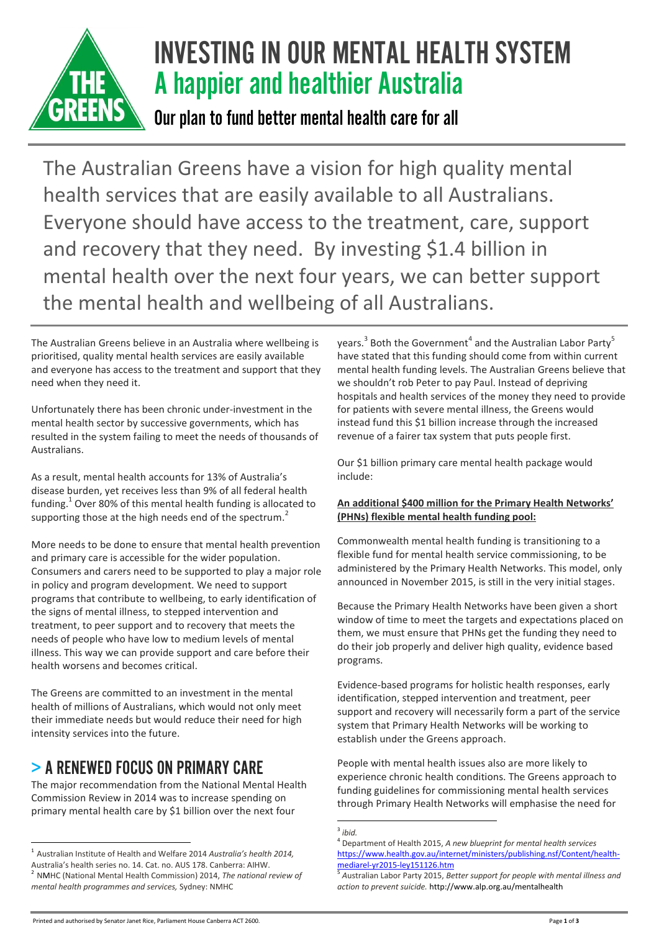

# INVESTING IN OUR MENTAL HEALTH SYSTEM A happier and healthier Australia

Our plan to fund better mental health care for all

The Australian Greens have a vision for high quality mental health services that are easily available to all Australians. Everyone should have access to the treatment, care, support and recovery that they need. By investing \$1.4 billion in mental health over the next four years, we can better support the mental health and wellbeing of all Australians.

The Australian Greens believe in an Australia where wellbeing is prioritised, quality mental health services are easily available and everyone has access to the treatment and support that they need when they need it.

Unfortunately there has been chronic under-investment in the mental health sector by successive governments, which has resulted in the system failing to meet the needs of thousands of Australians.

As a result, mental health accounts for 13% of Australia's disease burden, yet receives less than 9% of all federal health funding. $^{1}$  Over 80% of this mental health funding is allocated to supporting those at the high needs end of the spectrum.<sup>2</sup>

More needs to be done to ensure that mental health prevention and primary care is accessible for the wider population. Consumers and carers need to be supported to play a major role in policy and program development. We need to support programs that contribute to wellbeing, to early identification of the signs of mental illness, to stepped intervention and treatment, to peer support and to recovery that meets the needs of people who have low to medium levels of mental illness. This way we can provide support and care before their health worsens and becomes critical.

The Greens are committed to an investment in the mental health of millions of Australians, which would not only meet their immediate needs but would reduce their need for high intensity services into the future.

# > A RENEWED FOCUS ON PRIMARY CARE

The major recommendation from the National Mental Health Commission Review in 2014 was to increase spending on primary mental health care by \$1 billion over the next four

years.<sup>3</sup> Both the Government<sup>4</sup> and the Australian Labor Party<sup>5</sup> have stated that this funding should come from within current mental health funding levels. The Australian Greens believe that we shouldn't rob Peter to pay Paul. Instead of depriving hospitals and health services of the money they need to provide for patients with severe mental illness, the Greens would instead fund this \$1 billion increase through the increased revenue of a fairer tax system that puts people first.

Our \$1 billion primary care mental health package would include:

#### **An additional \$400 million for the Primary Health Networks' (PHNs) flexible mental health funding pool:**

Commonwealth mental health funding is transitioning to a flexible fund for mental health service commissioning, to be administered by the Primary Health Networks. This model, only announced in November 2015, is still in the very initial stages.

Because the Primary Health Networks have been given a short window of time to meet the targets and expectations placed on them, we must ensure that PHNs get the funding they need to do their job properly and deliver high quality, evidence based programs.

Evidence-based programs for holistic health responses, early identification, stepped intervention and treatment, peer support and recovery will necessarily form a part of the service system that Primary Health Networks will be working to establish under the Greens approach.

People with mental health issues also are more likely to experience chronic health conditions. The Greens approach to funding guidelines for commissioning mental health services through Primary Health Networks will emphasise the need for

 $\overline{a}$ 1 Australian Institute of Health and Welfare 2014 *Australia's health 2014,* Australia's health series no. 14. Cat. no. AUS 178. Canberra: AIHW. 2 NMHC (National Mental Health Commission) 2014, *The national review of mental health programmes and services,* Sydney: NMHC

 3 *ibid.*

<sup>4</sup> Department of Health 2015, *A new blueprint for mental health services*  [https://www.health.gov.au/internet/ministers/publishing.nsf/Content/health](https://www.health.gov.au/internet/ministers/publishing.nsf/Content/health-mediarel-yr2015-ley151126.htm)[mediarel-yr2015-ley151126.htm](https://www.health.gov.au/internet/ministers/publishing.nsf/Content/health-mediarel-yr2015-ley151126.htm)

<sup>5</sup> *A*ustralian Labor Party 2015, *Better support for people with mental illness and action to prevent suicide.* http://www.alp.org.au/mentalhealth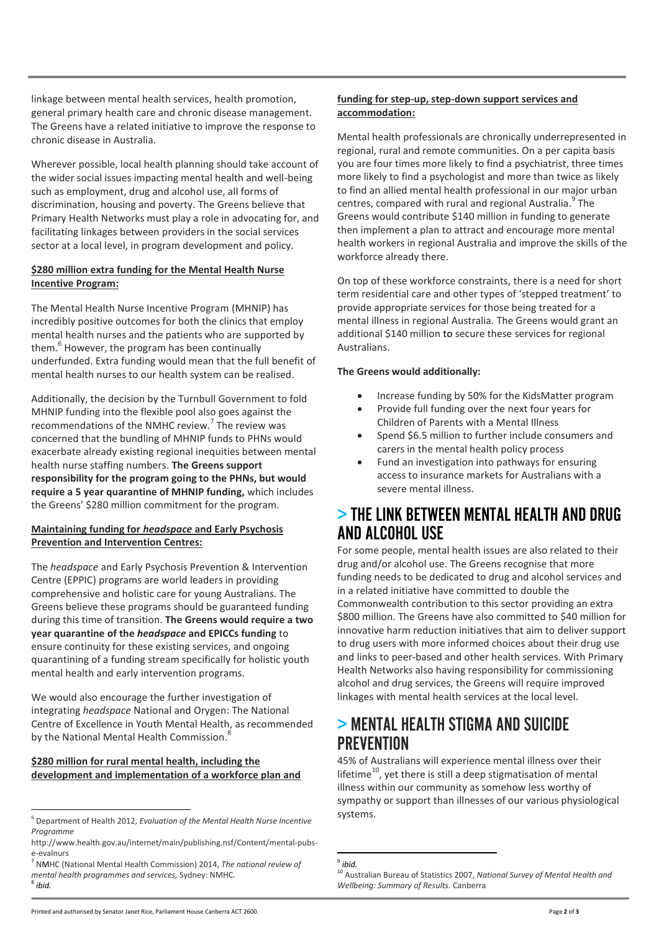linkage between mental health services, health promotion, general primary health care and chronic disease management. The Greens have a related initiative to improve the response to chronic disease in Australia.

Wherever possible, local health planning should take account of the wider social issues impacting mental health and well-being such as employment, drug and alcohol use, all forms of discrimination, housing and poverty. The Greens believe that Primary Health Networks must play a role in advocating for, and facilitating linkages between providers in the social services sector at a local level, in program development and policy.

#### **\$280 million extra funding for the Mental Health Nurse Incentive Program:**

The Mental Health Nurse Incentive Program (MHNIP) has incredibly positive outcomes for both the clinics that employ mental health nurses and the patients who are supported by them.<sup>6</sup> However, the program has been continually underfunded. Extra funding would mean that the full benefit of mental health nurses to our health system can be realised.

Additionally, the decision by the Turnbull Government to fold MHNIP funding into the flexible pool also goes against the recommendations of the NMHC review.<sup>7</sup> The review was concerned that the bundling of MHNIP funds to PHNs would exacerbate already existing regional inequities between mental health nurse staffing numbers. **The Greens support responsibility for the program going to the PHNs, but would require a 5 year quarantine of MHNIP funding,** which includes the Greens' \$280 million commitment for the program.

#### **Maintaining funding for** *headspace* **and Early Psychosis Prevention and Intervention Centres:**

The *headspace* and Early Psychosis Prevention & Intervention Centre (EPPIC) programs are world leaders in providing comprehensive and holistic care for young Australians. The Greens believe these programs should be guaranteed funding during this time of transition. **The Greens would require a two year quarantine of the** *headspace* **and EPICCs funding** to ensure continuity for these existing services, and ongoing quarantining of a funding stream specifically for holistic youth mental health and early intervention programs.

We would also encourage the further investigation of integrating *headspace* National and Orygen: The National Centre of Excellence in Youth Mental Health, as recommended by the National Mental Health Commission.<sup>8</sup>

#### **\$280 million for rural mental health, including the development and implementation of a workforce plan and**

#### **funding for step-up, step-down support services and accommodation:**

Mental health professionals are chronically underrepresented in regional, rural and remote communities. On a per capita basis you are four times more likely to find a psychiatrist, three times more likely to find a psychologist and more than twice as likely to find an allied mental health professional in our major urban centres, compared with rural and regional Australia.<sup>9</sup> The Greens would contribute \$140 million in funding to generate then implement a plan to attract and encourage more mental health workers in regional Australia and improve the skills of the workforce already there.

On top of these workforce constraints, there is a need for short term residential care and other types of 'stepped treatment' to provide appropriate services for those being treated for a mental illness in regional Australia. The Greens would grant an additional \$140 million to secure these services for regional Australians.

#### **The Greens would additionally:**

- Increase funding by 50% for the KidsMatter program
- Provide full funding over the next four years for Children of Parents with a Mental Illness
- Spend \$6.5 million to further include consumers and carers in the mental health policy process
- Fund an investigation into pathways for ensuring access to insurance markets for Australians with a severe mental illness.

### > THE LINK BETWEEN MENTAL HEALTH AND DRUG AND ALCOHOL USE

For some people, mental health issues are also related to their drug and/or alcohol use. The Greens recognise that more funding needs to be dedicated to drug and alcohol services and in a related initiative have committed to double the Commonwealth contribution to this sector providing an extra \$800 million. The Greens have also committed to \$40 million for innovative harm reduction initiatives that aim to deliver support to drug users with more informed choices about their drug use and links to peer-based and other health services. With Primary Health Networks also having responsibility for commissioning alcohol and drug services, the Greens will require improved linkages with mental health services at the local level.

# > MENTAL HEALTH STIGMA AND SUICIDE **PREVENTION**

45% of Australians will experience mental illness over their lifetime $^{10}$ , yet there is still a deep stigmatisation of mental illness within our community as somehow less worthy of sympathy or support than illnesses of our various physiological systems.

1 9 *ibid.*

 $\overline{a}$ 6 Department of Health 2012, *Evaluation of the Mental Health Nurse Incentive Programme*

http://www.health.gov.au/internet/main/publishing.nsf/Content/mental-pubse-evalnurs

<sup>7</sup> NMHC (National Mental Health Commission) 2014, *The national review of mental health programmes and services,* Sydney: NMHC*.* 8 *ibid.*

<sup>10</sup> Australian Bureau of Statistics 2007, *National Survey of Mental Health and Wellbeing: Summary of Results.* Canberra